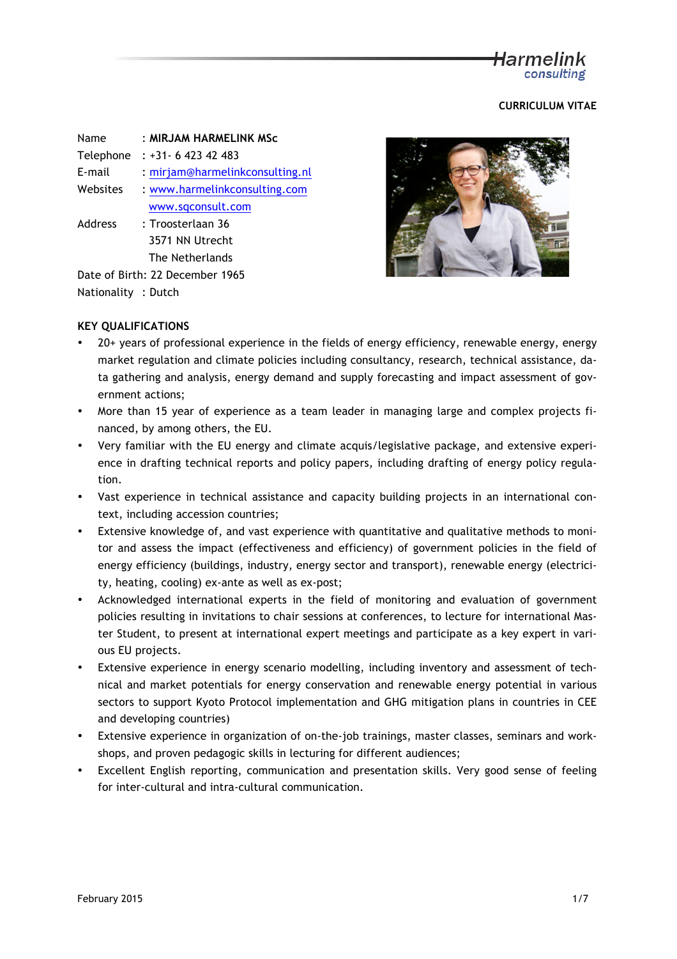# Harmelink consulting

## **CURRICULUM VITAE**

| Name      | : MIRJAM HARMELINK MSc          |  |
|-----------|---------------------------------|--|
| Telephone | $: +31 - 642342483$             |  |
| E-mail    | : mirjam@harmelinkconsulting.nl |  |
| Websites  | : www.harmelinkconsulting.com   |  |
|           | www.sqconsult.com               |  |
| Address   | : Troosterlaan 36               |  |
|           | 3571 NN Utrecht                 |  |
|           | The Netherlands                 |  |
|           |                                 |  |

Date of Birth: 22 December 1965 Nationality : Dutch



## **KEY QUALIFICATIONS**

- $20+$  years of professional experience in the fields of energy efficiency, renewable energy, energy market regulation and climate policies including consultancy, research, technical assistance, data gathering and analysis, energy demand and supply forecasting and impact assessment of government actions;
- More than 15 year of experience as a team leader in managing large and complex projects financed, by among others, the EU.
- Very familiar with the EU energy and climate acquis/legislative package, and extensive experience in drafting technical reports and policy papers, including drafting of energy policy regulation.
- Vast experience in technical assistance and capacity building projects in an international context, including accession countries;
- Extensive knowledge of, and vast experience with quantitative and qualitative methods to monitor and assess the impact (effectiveness and efficiency) of government policies in the field of energy efficiency (buildings, industry, energy sector and transport), renewable energy (electricity, heating, cooling) ex-ante as well as ex-post;
- Acknowledged international experts in the field of monitoring and evaluation of government policies resulting in invitations to chair sessions at conferences, to lecture for international Master Student, to present at international expert meetings and participate as a key expert in various EU projects.
- Extensive experience in energy scenario modelling, including inventory and assessment of technical and market potentials for energy conservation and renewable energy potential in various sectors to support Kyoto Protocol implementation and GHG mitigation plans in countries in CEE and developing countries)
- Extensive experience in organization of on-the-job trainings, master classes, seminars and workshops, and proven pedagogic skills in lecturing for different audiences;
- Excellent English reporting, communication and presentation skills. Very good sense of feeling for inter-cultural and intra-cultural communication.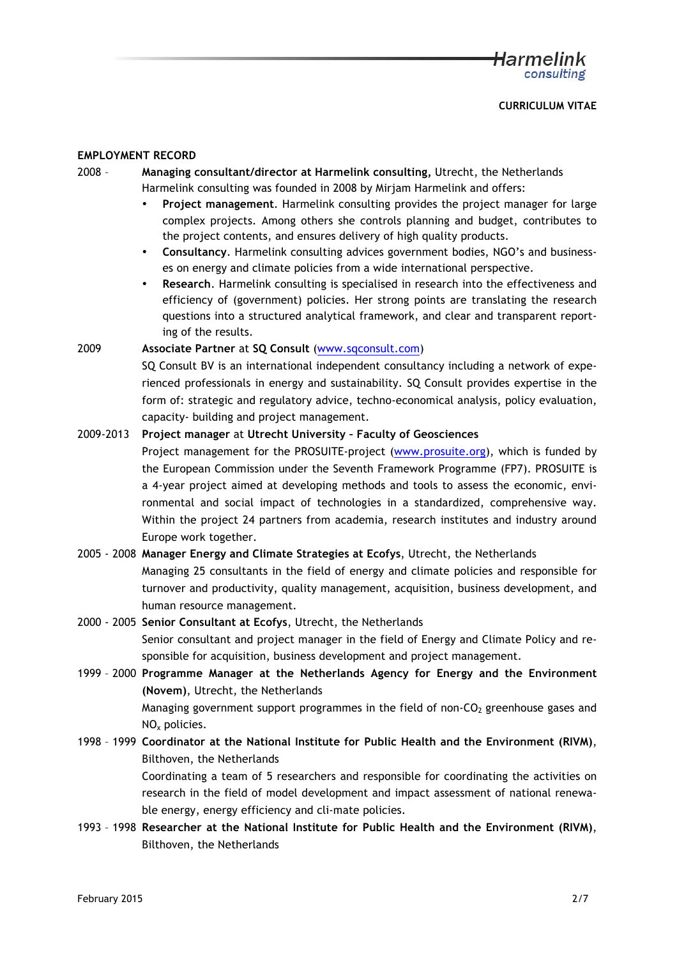### **EMPLOYMENT RECORD**

- 2008 **Managing consultant/director at Harmelink consulting,** Utrecht, the Netherlands Harmelink consulting was founded in 2008 by Mirjam Harmelink and offers:
	- **Project management**. Harmelink consulting provides the project manager for large complex projects. Among others she controls planning and budget, contributes to the project contents, and ensures delivery of high quality products.
	- **Consultancy**. Harmelink consulting advices government bodies, NGO's and businesses on energy and climate policies from a wide international perspective.
	- **Research**. Harmelink consulting is specialised in research into the effectiveness and efficiency of (government) policies. Her strong points are translating the research questions into a structured analytical framework, and clear and transparent reporting of the results.

### 2009 **Associate Partner** at **SQ Consult** (www.sqconsult.com)

SQ Consult BV is an international independent consultancy including a network of experienced professionals in energy and sustainability. SQ Consult provides expertise in the form of: strategic and regulatory advice, techno-economical analysis, policy evaluation, capacity- building and project management.

## 2009-2013 **Project manager** at **Utrecht University – Faculty of Geosciences**

Project management for the PROSUITE-project (www.prosuite.org), which is funded by the European Commission under the Seventh Framework Programme (FP7). PROSUITE is a 4-year project aimed at developing methods and tools to assess the economic, environmental and social impact of technologies in a standardized, comprehensive way. Within the project 24 partners from academia, research institutes and industry around Europe work together.

## 2005 - 2008 **Manager Energy and Climate Strategies at Ecofys**, Utrecht, the Netherlands

Managing 25 consultants in the field of energy and climate policies and responsible for turnover and productivity, quality management, acquisition, business development, and human resource management.

# 2000 - 2005 **Senior Consultant at Ecofys**, Utrecht, the Netherlands

Senior consultant and project manager in the field of Energy and Climate Policy and responsible for acquisition, business development and project management.

# 1999 – 2000 **Programme Manager at the Netherlands Agency for Energy and the Environment (Novem)**, Utrecht, the Netherlands

Managing government support programmes in the field of non- $CO<sub>2</sub>$  greenhouse gases and NOx policies.

## 1998 – 1999 **Coordinator at the National Institute for Public Health and the Environment (RIVM)**, Bilthoven, the Netherlands

Coordinating a team of 5 researchers and responsible for coordinating the activities on research in the field of model development and impact assessment of national renewable energy, energy efficiency and cli-mate policies.

1993 – 1998 **Researcher at the National Institute for Public Health and the Environment (RIVM)**, Bilthoven, the Netherlands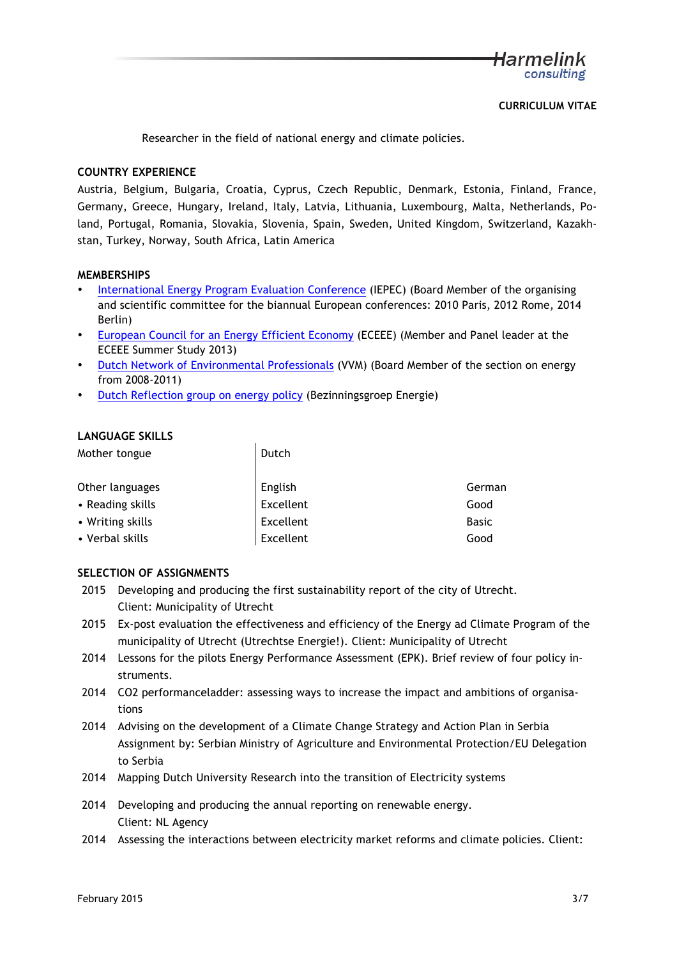Researcher in the field of national energy and climate policies.

## **COUNTRY EXPERIENCE**

Austria, Belgium, Bulgaria, Croatia, Cyprus, Czech Republic, Denmark, Estonia, Finland, France, Germany, Greece, Hungary, Ireland, Italy, Latvia, Lithuania, Luxembourg, Malta, Netherlands, Poland, Portugal, Romania, Slovakia, Slovenia, Spain, Sweden, United Kingdom, Switzerland, Kazakhstan, Turkey, Norway, South Africa, Latin America

### **MEMBERSHIPS**

- International Energy Program Evaluation Conference (IEPEC) (Board Member of the organising and scientific committee for the biannual European conferences: 2010 Paris, 2012 Rome, 2014 Berlin)
- European Council for an Energy Efficient Economy (ECEEE) (Member and Panel leader at the ECEEE Summer Study 2013)
- Dutch Network of Environmental Professionals (VVM) (Board Member of the section on energy from 2008-2011)
- Dutch Reflection group on energy policy (Bezinningsgroep Energie)

### **LANGUAGE SKILLS**

| Mother tongue    | Dutch     |              |
|------------------|-----------|--------------|
| Other languages  | English   | German       |
| • Reading skills | Excellent | Good         |
| • Writing skills | Excellent | <b>Basic</b> |
| • Verbal skills  | Excellent | Good         |

### **SELECTION OF ASSIGNMENTS**

- 2015 Developing and producing the first sustainability report of the city of Utrecht. Client: Municipality of Utrecht
- 2015 Ex-post evaluation the effectiveness and efficiency of the Energy ad Climate Program of the municipality of Utrecht (Utrechtse Energie!). Client: Municipality of Utrecht
- 2014 Lessons for the pilots Energy Performance Assessment (EPK). Brief review of four policy instruments.
- 2014 CO2 performanceladder: assessing ways to increase the impact and ambitions of organisations
- 2014 Advising on the development of a Climate Change Strategy and Action Plan in Serbia Assignment by: Serbian Ministry of Agriculture and Environmental Protection/EU Delegation to Serbia
- 2014 Mapping Dutch University Research into the transition of Electricity systems
- 2014 Developing and producing the annual reporting on renewable energy. Client: NL Agency
- 2014 Assessing the interactions between electricity market reforms and climate policies. Client: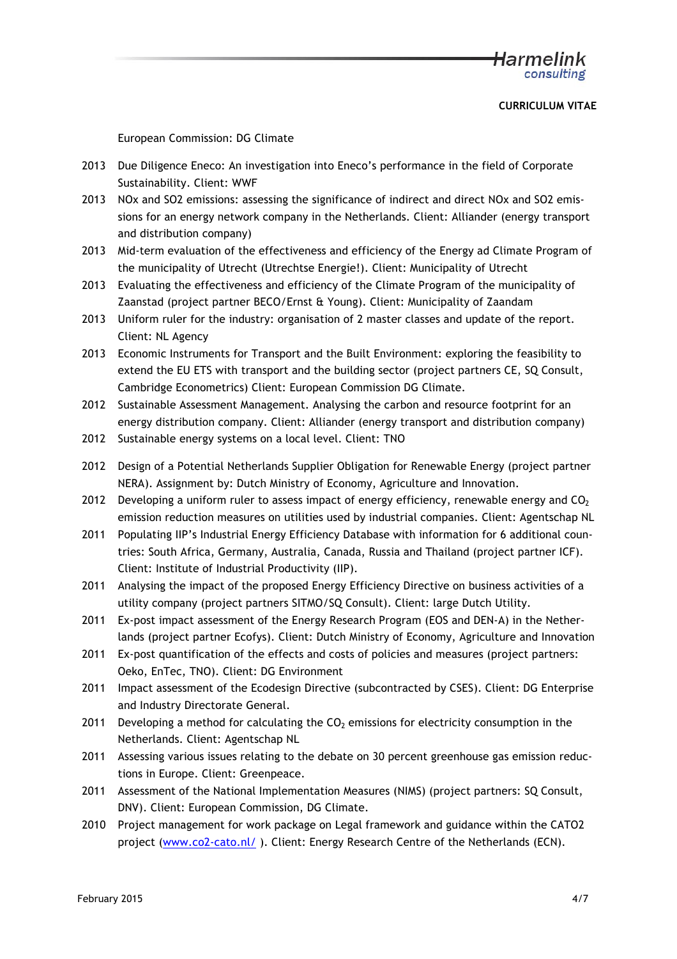European Commission: DG Climate

- 2013 Due Diligence Eneco: An investigation into Eneco's performance in the field of Corporate Sustainability. Client: WWF
- 2013 NOx and SO2 emissions: assessing the significance of indirect and direct NOx and SO2 emissions for an energy network company in the Netherlands. Client: Alliander (energy transport and distribution company)
- 2013 Mid-term evaluation of the effectiveness and efficiency of the Energy ad Climate Program of the municipality of Utrecht (Utrechtse Energie!). Client: Municipality of Utrecht
- 2013 Evaluating the effectiveness and efficiency of the Climate Program of the municipality of Zaanstad (project partner BECO/Ernst & Young). Client: Municipality of Zaandam
- 2013 Uniform ruler for the industry: organisation of 2 master classes and update of the report. Client: NL Agency
- 2013 Economic Instruments for Transport and the Built Environment: exploring the feasibility to extend the EU ETS with transport and the building sector (project partners CE, SQ Consult, Cambridge Econometrics) Client: European Commission DG Climate.
- 2012 Sustainable Assessment Management. Analysing the carbon and resource footprint for an energy distribution company. Client: Alliander (energy transport and distribution company)
- 2012 Sustainable energy systems on a local level. Client: TNO
- 2012 Design of a Potential Netherlands Supplier Obligation for Renewable Energy (project partner NERA). Assignment by: Dutch Ministry of Economy, Agriculture and Innovation.
- 2012 Developing a uniform ruler to assess impact of energy efficiency, renewable energy and  $CO<sub>2</sub>$ emission reduction measures on utilities used by industrial companies. Client: Agentschap NL
- 2011 Populating IIP's Industrial Energy Efficiency Database with information for 6 additional countries: South Africa, Germany, Australia, Canada, Russia and Thailand (project partner ICF). Client: Institute of Industrial Productivity (IIP).
- 2011 Analysing the impact of the proposed Energy Efficiency Directive on business activities of a utility company (project partners SITMO/SQ Consult). Client: large Dutch Utility.
- 2011 Ex-post impact assessment of the Energy Research Program (EOS and DEN-A) in the Netherlands (project partner Ecofys). Client: Dutch Ministry of Economy, Agriculture and Innovation
- 2011 Ex-post quantification of the effects and costs of policies and measures (project partners: Oeko, EnTec, TNO). Client: DG Environment
- 2011 Impact assessment of the Ecodesign Directive (subcontracted by CSES). Client: DG Enterprise and Industry Directorate General.
- 2011 Developing a method for calculating the  $CO<sub>2</sub>$  emissions for electricity consumption in the Netherlands. Client: Agentschap NL
- 2011 Assessing various issues relating to the debate on 30 percent greenhouse gas emission reductions in Europe. Client: Greenpeace.
- 2011 Assessment of the National Implementation Measures (NIMS) (project partners: SQ Consult, DNV). Client: European Commission, DG Climate.
- 2010 Project management for work package on Legal framework and guidance within the CATO2 project (www.co2-cato.nl/ ). Client: Energy Research Centre of the Netherlands (ECN).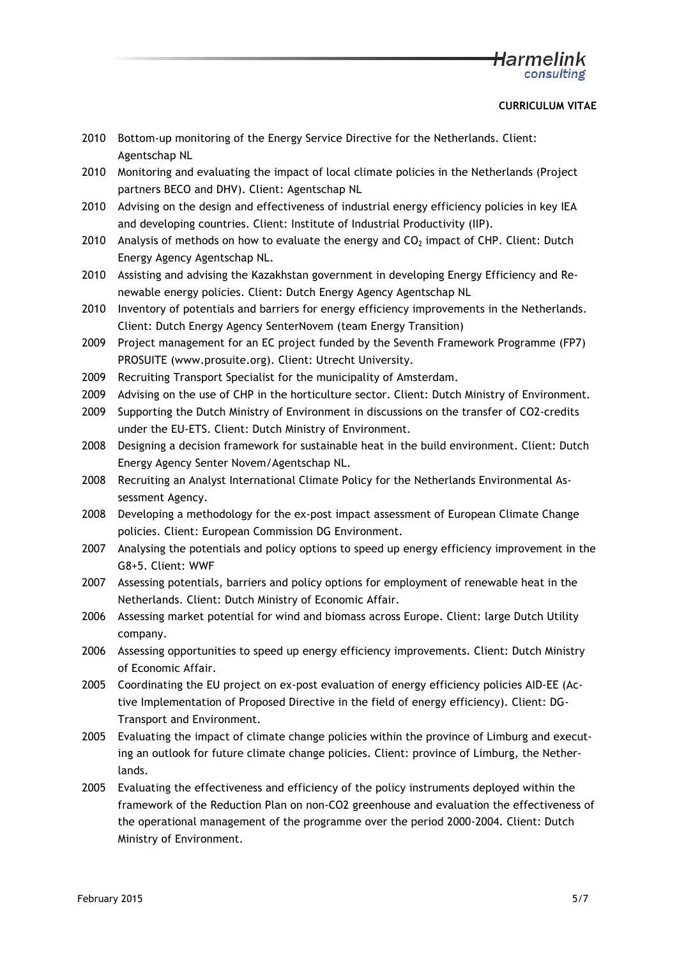# <del>H</del>armelink consulting

### **CURRICULUM VITAE**

- 2010 Bottom-up monitoring of the Energy Service Directive for the Netherlands. Client: Agentschap NL
- 2010 Monitoring and evaluating the impact of local climate policies in the Netherlands (Project partners BECO and DHV). Client: Agentschap NL
- 2010 Advising on the design and effectiveness of industrial energy efficiency policies in key IEA and developing countries. Client: Institute of Industrial Productivity (IIP).
- 2010 Analysis of methods on how to evaluate the energy and  $CO<sub>2</sub>$  impact of CHP. Client: Dutch Energy Agency Agentschap NL.
- 2010 Assisting and advising the Kazakhstan government in developing Energy Efficiency and Renewable energy policies. Client: Dutch Energy Agency Agentschap NL
- 2010 Inventory of potentials and barriers for energy efficiency improvements in the Netherlands. Client: Dutch Energy Agency SenterNovem (team Energy Transition)
- 2009 Project management for an EC project funded by the Seventh Framework Programme (FP7) PROSUITE (www.prosuite.org). Client: Utrecht University.
- 2009 Recruiting Transport Specialist for the municipality of Amsterdam.
- 2009 Advising on the use of CHP in the horticulture sector. Client: Dutch Ministry of Environment.
- 2009 Supporting the Dutch Ministry of Environment in discussions on the transfer of CO2-credits under the EU-ETS. Client: Dutch Ministry of Environment.
- 2008 Designing a decision framework for sustainable heat in the build environment. Client: Dutch Energy Agency Senter Novem/Agentschap NL.
- 2008 Recruiting an Analyst International Climate Policy for the Netherlands Environmental Assessment Agency.
- 2008 Developing a methodology for the ex-post impact assessment of European Climate Change policies. Client: European Commission DG Environment.
- 2007 Analysing the potentials and policy options to speed up energy efficiency improvement in the G8+5. Client: WWF
- 2007 Assessing potentials, barriers and policy options for employment of renewable heat in the Netherlands. Client: Dutch Ministry of Economic Affair.
- 2006 Assessing market potential for wind and biomass across Europe. Client: large Dutch Utility company.
- 2006 Assessing opportunities to speed up energy efficiency improvements. Client: Dutch Ministry of Economic Affair.
- 2005 Coordinating the EU project on ex-post evaluation of energy efficiency policies AID-EE (Active Implementation of Proposed Directive in the field of energy efficiency). Client: DG-Transport and Environment.
- 2005 Evaluating the impact of climate change policies within the province of Limburg and executing an outlook for future climate change policies. Client: province of Limburg, the Netherlands.
- 2005 Evaluating the effectiveness and efficiency of the policy instruments deployed within the framework of the Reduction Plan on non-CO2 greenhouse and evaluation the effectiveness of the operational management of the programme over the period 2000-2004. Client: Dutch Ministry of Environment.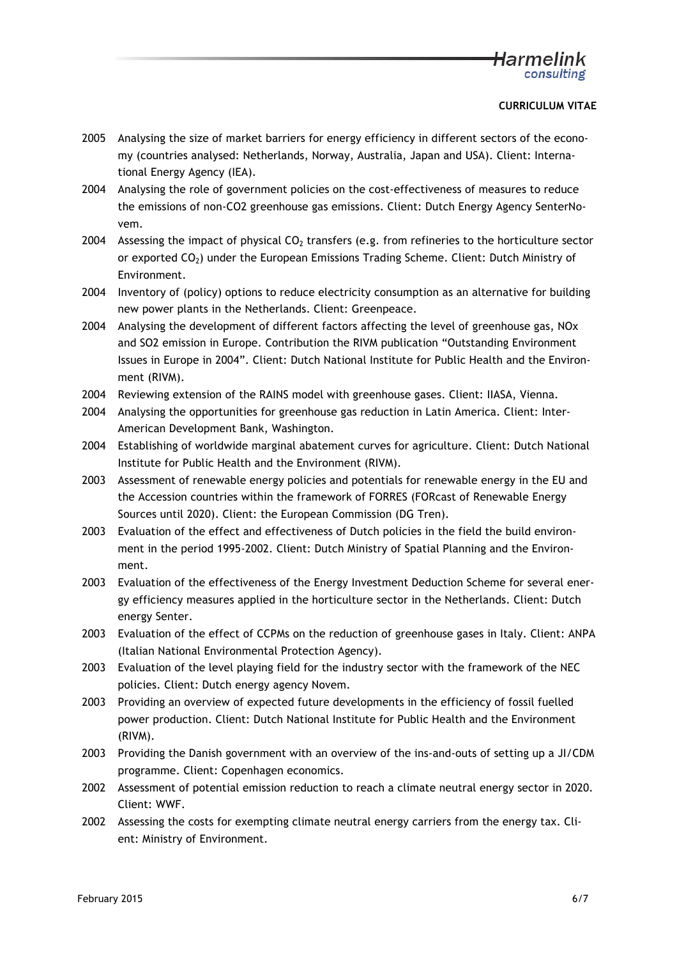- 2005 Analysing the size of market barriers for energy efficiency in different sectors of the economy (countries analysed: Netherlands, Norway, Australia, Japan and USA). Client: International Energy Agency (IEA).
- 2004 Analysing the role of government policies on the cost-effectiveness of measures to reduce the emissions of non-CO2 greenhouse gas emissions. Client: Dutch Energy Agency SenterNovem.
- 2004 Assessing the impact of physical  $CO<sub>2</sub>$  transfers (e.g. from refineries to the horticulture sector or exported  $CO<sub>2</sub>$ ) under the European Emissions Trading Scheme. Client: Dutch Ministry of Environment.
- 2004 Inventory of (policy) options to reduce electricity consumption as an alternative for building new power plants in the Netherlands. Client: Greenpeace.
- 2004 Analysing the development of different factors affecting the level of greenhouse gas, NOx and SO2 emission in Europe. Contribution the RIVM publication "Outstanding Environment Issues in Europe in 2004". Client: Dutch National Institute for Public Health and the Environment (RIVM).
- 2004 Reviewing extension of the RAINS model with greenhouse gases. Client: IIASA, Vienna.
- 2004 Analysing the opportunities for greenhouse gas reduction in Latin America. Client: Inter-American Development Bank, Washington.
- 2004 Establishing of worldwide marginal abatement curves for agriculture. Client: Dutch National Institute for Public Health and the Environment (RIVM).
- 2003 Assessment of renewable energy policies and potentials for renewable energy in the EU and the Accession countries within the framework of FORRES (FORcast of Renewable Energy Sources until 2020). Client: the European Commission (DG Tren).
- 2003 Evaluation of the effect and effectiveness of Dutch policies in the field the build environment in the period 1995-2002. Client: Dutch Ministry of Spatial Planning and the Environment.
- 2003 Evaluation of the effectiveness of the Energy Investment Deduction Scheme for several energy efficiency measures applied in the horticulture sector in the Netherlands. Client: Dutch energy Senter.
- 2003 Evaluation of the effect of CCPMs on the reduction of greenhouse gases in Italy. Client: ANPA (Italian National Environmental Protection Agency).
- 2003 Evaluation of the level playing field for the industry sector with the framework of the NEC policies. Client: Dutch energy agency Novem.
- 2003 Providing an overview of expected future developments in the efficiency of fossil fuelled power production. Client: Dutch National Institute for Public Health and the Environment (RIVM).
- 2003 Providing the Danish government with an overview of the ins-and-outs of setting up a JI/CDM programme. Client: Copenhagen economics.
- 2002 Assessment of potential emission reduction to reach a climate neutral energy sector in 2020. Client: WWF.
- 2002 Assessing the costs for exempting climate neutral energy carriers from the energy tax. Client: Ministry of Environment.